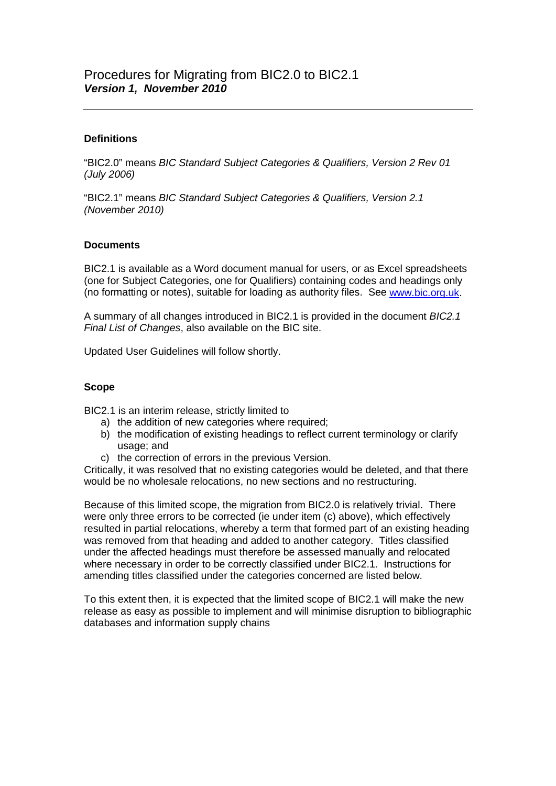# **Definitions**

"BIC2.0" means *BIC Standard Subject Categories & Qualifiers, Version 2 Rev 01 (July 2006)*

"BIC2.1" means *BIC Standard Subject Categories & Qualifiers, Version 2.1 (November 2010)*

## **Documents**

BIC2.1 is available as a Word document manual for users, or as Excel spreadsheets (one for Subject Categories, one for Qualifiers) containing codes and headings only (no formatting or notes), suitable for loading as authority files. See [www.bic.org.uk.](http://www.bic.org.uk/)

A summary of all changes introduced in BIC2.1 is provided in the document *BIC2.1 Final List of Changes*, also available on the BIC site.

Updated User Guidelines will follow shortly.

## **Scope**

BIC2.1 is an interim release, strictly limited to

- a) the addition of new categories where required;
- b) the modification of existing headings to reflect current terminology or clarify usage; and
- c) the correction of errors in the previous Version.

Critically, it was resolved that no existing categories would be deleted, and that there would be no wholesale relocations, no new sections and no restructuring.

Because of this limited scope, the migration from BIC2.0 is relatively trivial. There were only three errors to be corrected (ie under item (c) above), which effectively resulted in partial relocations, whereby a term that formed part of an existing heading was removed from that heading and added to another category. Titles classified under the affected headings must therefore be assessed manually and relocated where necessary in order to be correctly classified under BIC2.1. Instructions for amending titles classified under the categories concerned are listed below.

To this extent then, it is expected that the limited scope of BIC2.1 will make the new release as easy as possible to implement and will minimise disruption to bibliographic databases and information supply chains